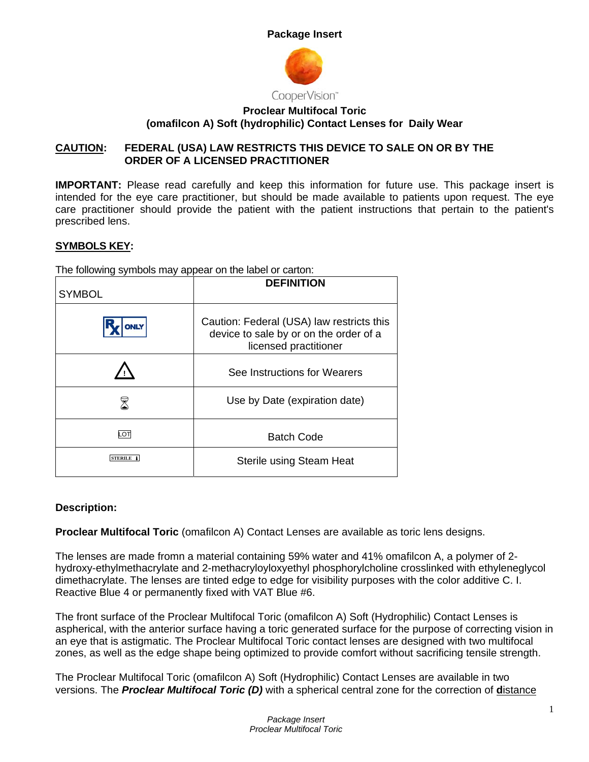



# **Proclear Multifocal Toric (omafilcon A) Soft (hydrophilic) Contact Lenses for Daily Wear**

## **CAUTION: FEDERAL (USA) LAW RESTRICTS THIS DEVICE TO SALE ON OR BY THE ORDER OF A LICENSED PRACTITIONER**

**IMPORTANT:** Please read carefully and keep this information for future use. This package insert is intended for the eye care practitioner, but should be made available to patients upon request. The eye care practitioner should provide the patient with the patient instructions that pertain to the patient's prescribed lens.

# **SYMBOLS KEY:**

The following symbols may appear on the label or carton:

| <b>SYMBOL</b>    | <b>DEFINITION</b>                                                                                            |
|------------------|--------------------------------------------------------------------------------------------------------------|
| <b>ONLY</b>      | Caution: Federal (USA) law restricts this<br>device to sale by or on the order of a<br>licensed practitioner |
|                  | See Instructions for Wearers                                                                                 |
|                  | Use by Date (expiration date)                                                                                |
| LOT              | <b>Batch Code</b>                                                                                            |
| <b>STERILE</b> 1 | Sterile using Steam Heat                                                                                     |

## **Description:**

**Proclear Multifocal Toric** (omafilcon A) Contact Lenses are available as toric lens designs.

The lenses are made fromn a material containing 59% water and 41% omafilcon A, a polymer of 2 hydroxy-ethylmethacrylate and 2-methacryloyloxyethyl phosphorylcholine crosslinked with ethyleneglycol dimethacrylate. The lenses are tinted edge to edge for visibility purposes with the color additive C. I. Reactive Blue 4 or permanently fixed with VAT Blue #6.

The front surface of the Proclear Multifocal Toric (omafilcon A) Soft (Hydrophilic) Contact Lenses is aspherical, with the anterior surface having a toric generated surface for the purpose of correcting vision in an eye that is astigmatic. The Proclear Multifocal Toric contact lenses are designed with two multifocal zones, as well as the edge shape being optimized to provide comfort without sacrificing tensile strength.

The Proclear Multifocal Toric (omafilcon A) Soft (Hydrophilic) Contact Lenses are available in two versions. The *Proclear Multifocal Toric (D)* with a spherical central zone for the correction of **d**istance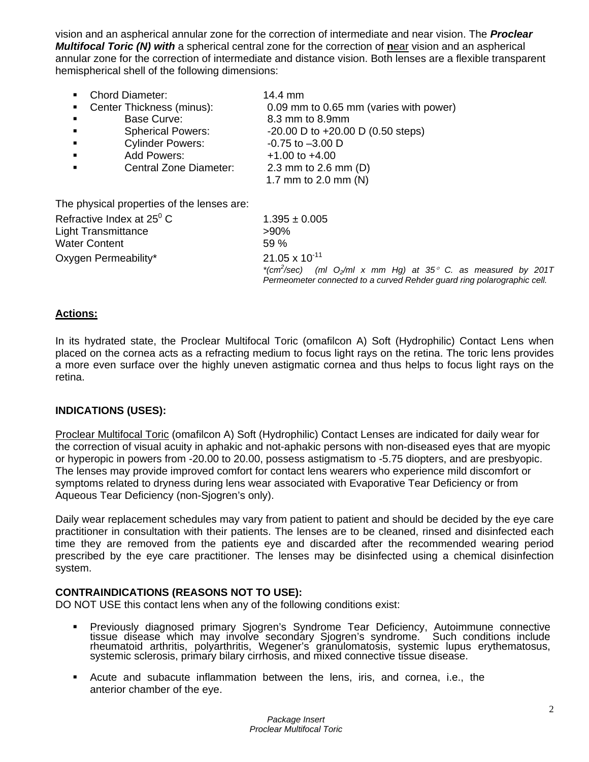vision and an aspherical annular zone for the correction of intermediate and near vision. The *Proclear Multifocal Toric (N) with* a spherical central zone for the correction of **n**ear vision and an aspherical annular zone for the correction of intermediate and distance vision. Both lenses are a flexible transparent hemispherical shell of the following dimensions:

| (ml $O_2$ /ml x mm Hg) at 35° C. as measured by 201T |
|------------------------------------------------------|
|                                                      |

### **Actions:**

In its hydrated state, the Proclear Multifocal Toric (omafilcon A) Soft (Hydrophilic) Contact Lens when placed on the cornea acts as a refracting medium to focus light rays on the retina. The toric lens provides a more even surface over the highly uneven astigmatic cornea and thus helps to focus light rays on the retina.

### **INDICATIONS (USES):**

Proclear Multifocal Toric (omafilcon A) Soft (Hydrophilic) Contact Lenses are indicated for daily wear for the correction of visual acuity in aphakic and not-aphakic persons with non-diseased eyes that are myopic or hyperopic in powers from -20.00 to 20.00, possess astigmatism to -5.75 diopters, and are presbyopic. The lenses may provide improved comfort for contact lens wearers who experience mild discomfort or symptoms related to dryness during lens wear associated with Evaporative Tear Deficiency or from Aqueous Tear Deficiency (non-Sjogren's only).

Daily wear replacement schedules may vary from patient to patient and should be decided by the eye care practitioner in consultation with their patients. The lenses are to be cleaned, rinsed and disinfected each time they are removed from the patients eye and discarded after the recommended wearing period prescribed by the eye care practitioner. The lenses may be disinfected using a chemical disinfection system.

#### **CONTRAINDICATIONS (REASONS NOT TO USE):**

DO NOT USE this contact lens when any of the following conditions exist:

- Previously diagnosed primary Sjogren's Syndrome Tear Deficiency, Autoimmune connective tissue disease which may involve secondary Sjogren's syndrome. Such conditions include rheumatoid arthritis, polyarthritis, Wegener's granulomatosis, systemic lupus erythematosus, systemic sclerosis, primary bilary cirrhosis, and mixed connective tissue disease.
- Acute and subacute inflammation between the lens, iris, and cornea, i.e., the anterior chamber of the eye.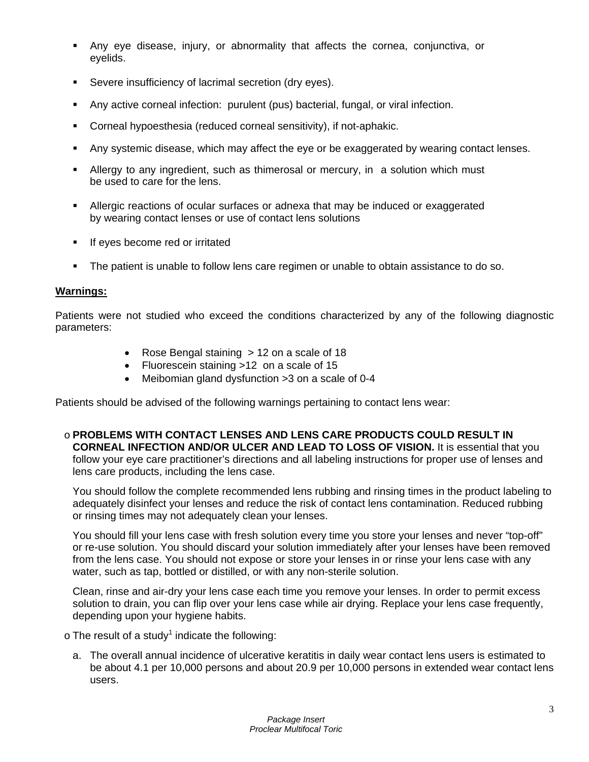- Any eye disease, injury, or abnormality that affects the cornea, conjunctiva, or eyelids.
- Severe insufficiency of lacrimal secretion (dry eyes).
- Any active corneal infection: purulent (pus) bacterial, fungal, or viral infection.
- Corneal hypoesthesia (reduced corneal sensitivity), if not-aphakic.
- Any systemic disease, which may affect the eye or be exaggerated by wearing contact lenses.
- **Allergy to any ingredient, such as thimerosal or mercury, in a solution which must** be used to care for the lens.
- Allergic reactions of ocular surfaces or adnexa that may be induced or exaggerated by wearing contact lenses or use of contact lens solutions
- **If eyes become red or irritated**
- The patient is unable to follow lens care regimen or unable to obtain assistance to do so.

#### **Warnings:**

Patients were not studied who exceed the conditions characterized by any of the following diagnostic parameters:

- Rose Bengal staining > 12 on a scale of 18
- Fluorescein staining >12 on a scale of 15
- Meibomian gland dysfunction >3 on a scale of 0-4

Patients should be advised of the following warnings pertaining to contact lens wear:

o **PROBLEMS WITH CONTACT LENSES AND LENS CARE PRODUCTS COULD RESULT IN CORNEAL INFECTION AND/OR ULCER AND LEAD TO LOSS OF VISION.** It is essential that you follow your eye care practitioner's directions and all labeling instructions for proper use of lenses and lens care products, including the lens case.

You should follow the complete recommended lens rubbing and rinsing times in the product labeling to adequately disinfect your lenses and reduce the risk of contact lens contamination. Reduced rubbing or rinsing times may not adequately clean your lenses.

You should fill your lens case with fresh solution every time you store your lenses and never "top-off" or re-use solution. You should discard your solution immediately after your lenses have been removed from the lens case. You should not expose or store your lenses in or rinse your lens case with any water, such as tap, bottled or distilled, or with any non-sterile solution.

Clean, rinse and air-dry your lens case each time you remove your lenses. In order to permit excess solution to drain, you can flip over your lens case while air drying. Replace your lens case frequently, depending upon your hygiene habits.

 $\circ$  The result of a study<sup>1</sup> indicate the following:

a. The overall annual incidence of ulcerative keratitis in daily wear contact lens users is estimated to be about 4.1 per 10,000 persons and about 20.9 per 10,000 persons in extended wear contact lens users.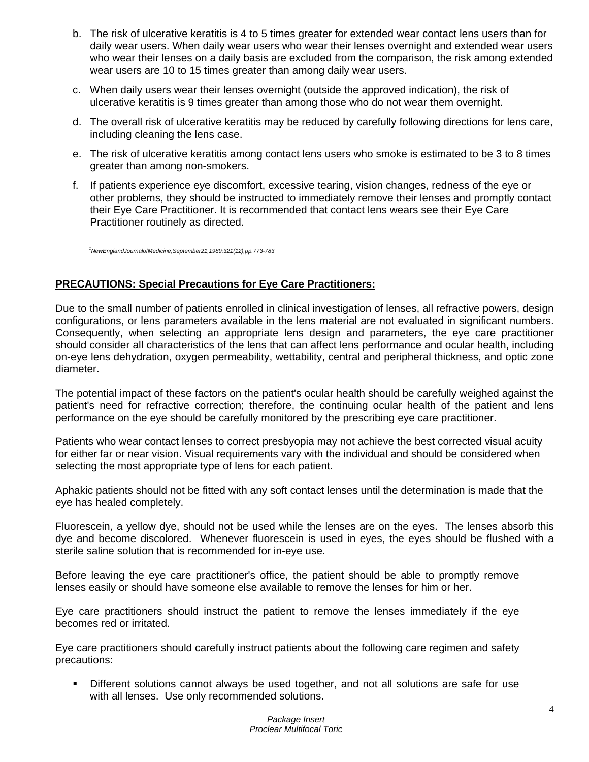- b. The risk of ulcerative keratitis is 4 to 5 times greater for extended wear contact lens users than for daily wear users. When daily wear users who wear their lenses overnight and extended wear users who wear their lenses on a daily basis are excluded from the comparison, the risk among extended wear users are 10 to 15 times greater than among daily wear users.
- c. When daily users wear their lenses overnight (outside the approved indication), the risk of ulcerative keratitis is 9 times greater than among those who do not wear them overnight.
- d. The overall risk of ulcerative keratitis may be reduced by carefully following directions for lens care, including cleaning the lens case.
- e. The risk of ulcerative keratitis among contact lens users who smoke is estimated to be 3 to 8 times greater than among non-smokers.
- f. If patients experience eye discomfort, excessive tearing, vision changes, redness of the eye or other problems, they should be instructed to immediately remove their lenses and promptly contact their Eye Care Practitioner. It is recommended that contact lens wears see their Eye Care Practitioner routinely as directed.

*1 NewEnglandJournalofMedicine,September21,1989;321(12),pp.773-783*

#### **PRECAUTIONS: Special Precautions for Eye Care Practitioners:**

Due to the small number of patients enrolled in clinical investigation of lenses, all refractive powers, design configurations, or lens parameters available in the lens material are not evaluated in significant numbers. Consequently, when selecting an appropriate lens design and parameters, the eye care practitioner should consider all characteristics of the lens that can affect lens performance and ocular health, including on-eye lens dehydration, oxygen permeability, wettability, central and peripheral thickness, and optic zone diameter.

The potential impact of these factors on the patient's ocular health should be carefully weighed against the patient's need for refractive correction; therefore, the continuing ocular health of the patient and lens performance on the eye should be carefully monitored by the prescribing eye care practitioner.

Patients who wear contact lenses to correct presbyopia may not achieve the best corrected visual acuity for either far or near vision. Visual requirements vary with the individual and should be considered when selecting the most appropriate type of lens for each patient.

Aphakic patients should not be fitted with any soft contact lenses until the determination is made that the eye has healed completely.

Fluorescein, a yellow dye, should not be used while the lenses are on the eyes. The lenses absorb this dye and become discolored. Whenever fluorescein is used in eyes, the eyes should be flushed with a sterile saline solution that is recommended for in-eye use.

Before leaving the eye care practitioner's office, the patient should be able to promptly remove lenses easily or should have someone else available to remove the lenses for him or her.

Eye care practitioners should instruct the patient to remove the lenses immediately if the eye becomes red or irritated.

Eye care practitioners should carefully instruct patients about the following care regimen and safety precautions:

 Different solutions cannot always be used together, and not all solutions are safe for use with all lenses. Use only recommended solutions.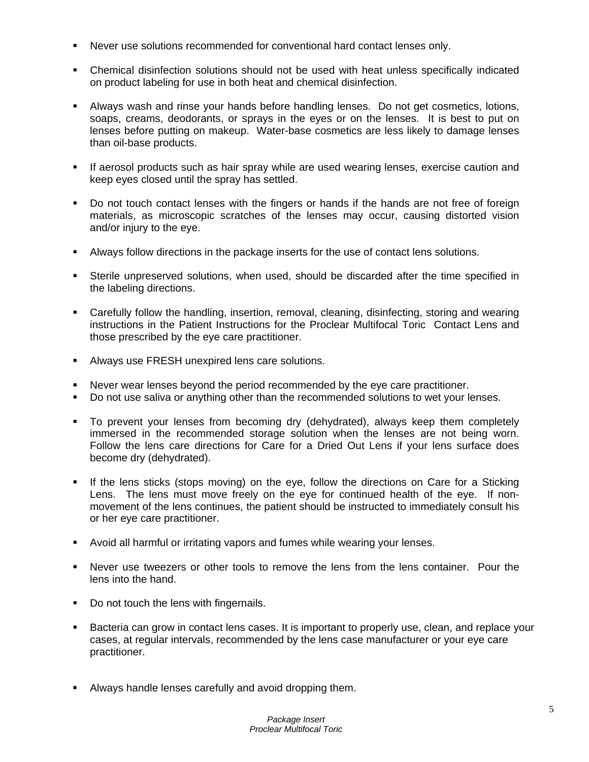- Never use solutions recommended for conventional hard contact lenses only.
- Chemical disinfection solutions should not be used with heat unless specifically indicated on product labeling for use in both heat and chemical disinfection.
- Always wash and rinse your hands before handling lenses. Do not get cosmetics, lotions, soaps, creams, deodorants, or sprays in the eyes or on the lenses. It is best to put on lenses before putting on makeup. Water-base cosmetics are less likely to damage lenses than oil-base products.
- If aerosol products such as hair spray while are used wearing lenses, exercise caution and keep eyes closed until the spray has settled.
- Do not touch contact lenses with the fingers or hands if the hands are not free of foreign materials, as microscopic scratches of the lenses may occur, causing distorted vision and/or injury to the eye.
- Always follow directions in the package inserts for the use of contact lens solutions.
- Sterile unpreserved solutions, when used, should be discarded after the time specified in the labeling directions.
- Carefully follow the handling, insertion, removal, cleaning, disinfecting, storing and wearing instructions in the Patient Instructions for the Proclear Multifocal Toric Contact Lens and those prescribed by the eye care practitioner.
- **Always use FRESH unexpired lens care solutions.**
- Never wear lenses beyond the period recommended by the eye care practitioner.
- Do not use saliva or anything other than the recommended solutions to wet your lenses.
- To prevent your lenses from becoming dry (dehydrated), always keep them completely immersed in the recommended storage solution when the lenses are not being worn. Follow the lens care directions for Care for a Dried Out Lens if your lens surface does become dry (dehydrated).
- If the lens sticks (stops moving) on the eye, follow the directions on Care for a Sticking Lens. The lens must move freely on the eye for continued health of the eye. If nonmovement of the lens continues, the patient should be instructed to immediately consult his or her eye care practitioner.
- Avoid all harmful or irritating vapors and fumes while wearing your lenses.
- Never use tweezers or other tools to remove the lens from the lens container. Pour the lens into the hand.
- Do not touch the lens with fingernails.
- Bacteria can grow in contact lens cases. It is important to properly use, clean, and replace your cases, at regular intervals, recommended by the lens case manufacturer or your eye care practitioner.
- Always handle lenses carefully and avoid dropping them.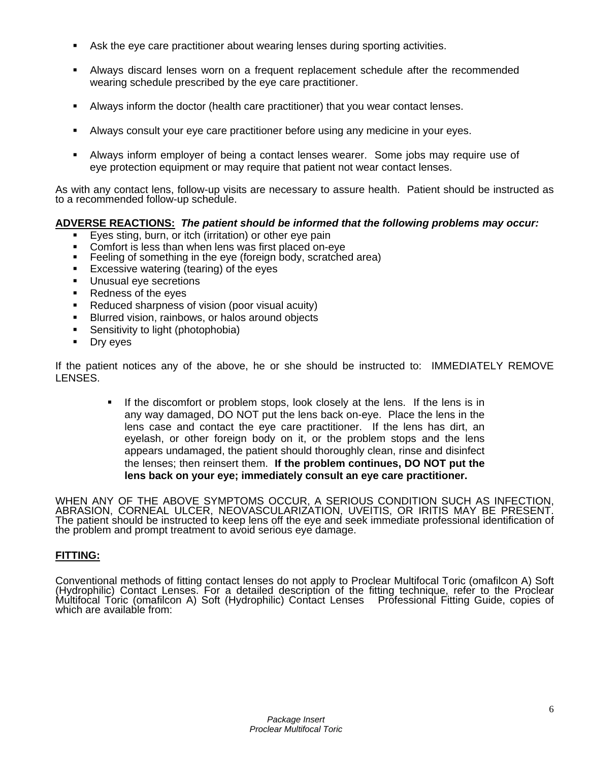- Ask the eye care practitioner about wearing lenses during sporting activities.
- Always discard lenses worn on a frequent replacement schedule after the recommended wearing schedule prescribed by the eye care practitioner.
- Always inform the doctor (health care practitioner) that you wear contact lenses.
- Always consult your eye care practitioner before using any medicine in your eyes.
- Always inform employer of being a contact lenses wearer. Some jobs may require use of eye protection equipment or may require that patient not wear contact lenses.

As with any contact lens, follow-up visits are necessary to assure health. Patient should be instructed as to a recommended follow-up schedule.

## **ADVERSE REACTIONS:** *The patient should be informed that the following problems may occur:*

- Eyes sting, burn, or itch (irritation) or other eye pain
- Comfort is less than when lens was first placed on-eye<br>Eeeling of something in the eye (foreign body, scratcher
- Feeling of something in the eye (foreign body, scratched area)
- **Excessive watering (tearing) of the eyes**
- **Unusual eye secretions**
- Redness of the eyes
- Reduced sharpness of vision (poor visual acuity)
- **Blurred vision, rainbows, or halos around objects**
- **Sensitivity to light (photophobia)**
- **Dry eyes**

If the patient notices any of the above, he or she should be instructed to: IMMEDIATELY REMOVE LENSES.

> If the discomfort or problem stops, look closely at the lens. If the lens is in any way damaged, DO NOT put the lens back on-eye. Place the lens in the lens case and contact the eye care practitioner. If the lens has dirt, an eyelash, or other foreign body on it, or the problem stops and the lens appears undamaged, the patient should thoroughly clean, rinse and disinfect the lenses; then reinsert them. **If the problem continues, DO NOT put the lens back on your eye; immediately consult an eye care practitioner.**

WHEN ANY OF THE ABOVE SYMPTOMS OCCUR, A SERIOUS CONDITION SUCH AS INFECTION, ABRASION, CORNEAL ULCER, NEOVASCULARIZATION, UVEITIS, OR IRITIS MAY BE PRESENT. The patient should be instructed to keep lens off the eye and seek immediate professional identification of the problem and prompt treatment to avoid serious eye damage.

## **FITTING:**

Conventional methods of fitting contact lenses do not apply to Proclear Multifocal Toric (omafilcon A) Soft<br>(Hydrophilic) Contact Lenses. For a detailed description of the fitting technique, refer to the Proclear Multifocal Toric (omafilcon A) Soft (Hydrophilic) Contact Lenses Prõfessional Fitting Guide, copies of<br>which are available from: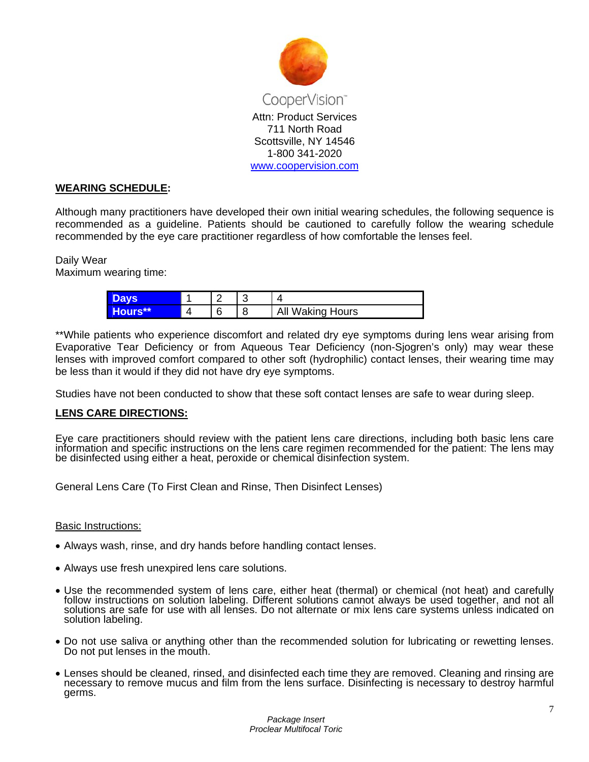

#### **WEARING SCHEDULE:**

Although many practitioners have developed their own initial wearing schedules, the following sequence is recommended as a guideline. Patients should be cautioned to carefully follow the wearing schedule recommended by the eye care practitioner regardless of how comfortable the lenses feel.

### Daily Wear

Maximum wearing time:

| <b>Houre</b> |  | All Waking Hours |
|--------------|--|------------------|

\*\*While patients who experience discomfort and related dry eye symptoms during lens wear arising from Evaporative Tear Deficiency or from Aqueous Tear Deficiency (non-Sjogren's only) may wear these lenses with improved comfort compared to other soft (hydrophilic) contact lenses, their wearing time may be less than it would if they did not have dry eye symptoms.

Studies have not been conducted to show that these soft contact lenses are safe to wear during sleep.

#### **LENS CARE DIRECTIONS:**

Eye care practitioners should review with the patient lens care directions, including both basic lens care information and specific instructions on the lens care regimen recommended for the patient: The lens may be disinfected using either a heat, peroxide or chemical disinfection system.

General Lens Care (To First Clean and Rinse, Then Disinfect Lenses)

#### Basic Instructions:

- Always wash, rinse, and dry hands before handling contact lenses.
- Always use fresh unexpired lens care solutions.
- Use the recommended system of lens care, either heat (thermal) or chemical (not heat) and carefully follow instructions on solution labeling. Different solutions cannot always be used together, and not all solutions are safe for use with all lenses. Do not alternate or mix lens care systems unless indicated on solution labeling.
- Do not use saliva or anything other than the recommended solution for lubricating or rewetting lenses. Do not put lenses in the mouth.
- Lenses should be cleaned, rinsed, and disinfected each time they are removed. Cleaning and rinsing are necessary to remove mucus and film from the lens surface. Disinfecting is necessary to destroy harmful germs.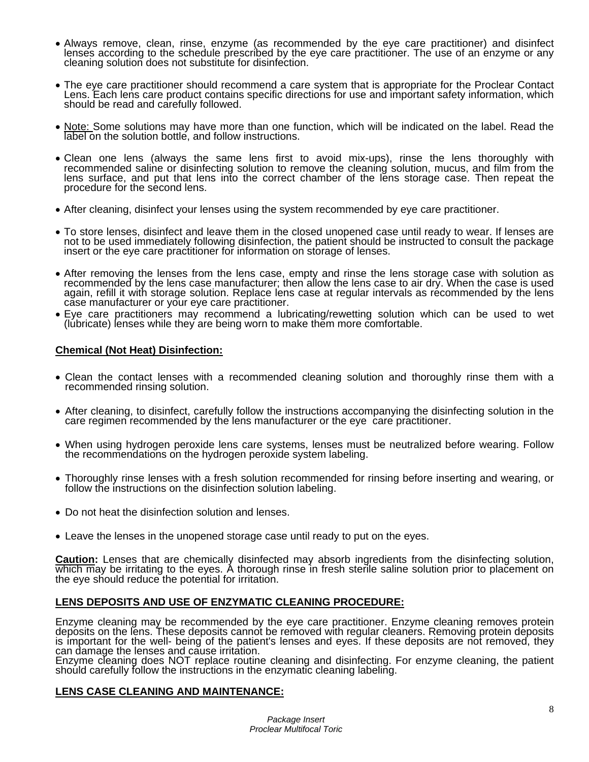- Always remove, clean, rinse, enzyme (as recommended by the eye care practitioner) and disinfect lenses according to the schedule prescribed by the eye care practitioner. The use of an enzyme or any cleaning solution does not substitute for disinfection.
- The eye care practitioner should recommend a care system that is appropriate for the Proclear Contact Lens. Each lens care product contains specific directions for use and important safety information, which should be read and carefully followed.
- Note: Some solutions may have more than one function, which will be indicated on the label. Read the label on the solution bottle, and follow instructions.
- Clean one lens (always the same lens first to avoid mix-ups), rinse the lens thoroughly with recommended saline or disinfecting solution to remove the cleaning solution, mucus, and film from the lens surface, and put that lens into the correct chamber of the lens storage case. Then repeat the procedure for the second lens.
- After cleaning, disinfect your lenses using the system recommended by eye care practitioner.
- To store lenses, disinfect and leave them in the closed unopened case until ready to wear. If lenses are not to be used immediately following disinfection, the patient should be instructed to consult the package insert or the eye care practitioner for information on storage of lenses.
- After removing the lenses from the lens case, empty and rinse the lens storage case with solution as recommended by the lens case manufacturer; then allow the lens case to air dry. When the case is used again, refill it with storage solution. Replace lens case at regular intervals as recommended by the lens case manufacturer or your eye care practitioner.
- Eye care practitioners may recommend a lubricating/rewetting solution which can be used to wet (lubricate) lenses while they are being worn to make them more comfortable.

#### **Chemical (Not Heat) Disinfection:**

- Clean the contact lenses with a recommended cleaning solution and thoroughly rinse them with a recommended rinsing solution.
- After cleaning, to disinfect, carefully follow the instructions accompanying the disinfecting solution in the care regimen recommended by the lens manufacturer or the eye care practitioner.
- When using hydrogen peroxide lens care systems, lenses must be neutralized before wearing. Follow the recommendations on the hydrogen peroxide system labeling.
- Thoroughly rinse lenses with a fresh solution recommended for rinsing before inserting and wearing, or follow the instructions on the disinfection solution labeling.
- Do not heat the disinfection solution and lenses.
- Leave the lenses in the unopened storage case until ready to put on the eyes.

**Caution:** Lenses that are chemically disinfected may absorb ingredients from the disinfecting solution, which may be irritating to the eyes. A thorough rinse in fresh sterile saline solution prior to placement on the eye should reduce the potential for irritation.

#### **LENS DEPOSITS AND USE OF ENZYMATIC CLEANING PROCEDURE:**

Enzyme cleaning may be recommended by the eye care practitioner. Enzyme cleaning removes protein deposits on the lens. These deposits cannot be removed with regular cleaners. Removing protein deposits is important for the well- being of the patient's lenses and eyes. If these deposits are not removed, they can damage the lenses and cause irritation.

Enzyme cleaning does NOT replace routine cleaning and disinfecting. For enzyme cleaning, the patient should carefully follow the instructions in the enzymatic cleaning labeling.

#### **LENS CASE CLEANING AND MAINTENANCE:**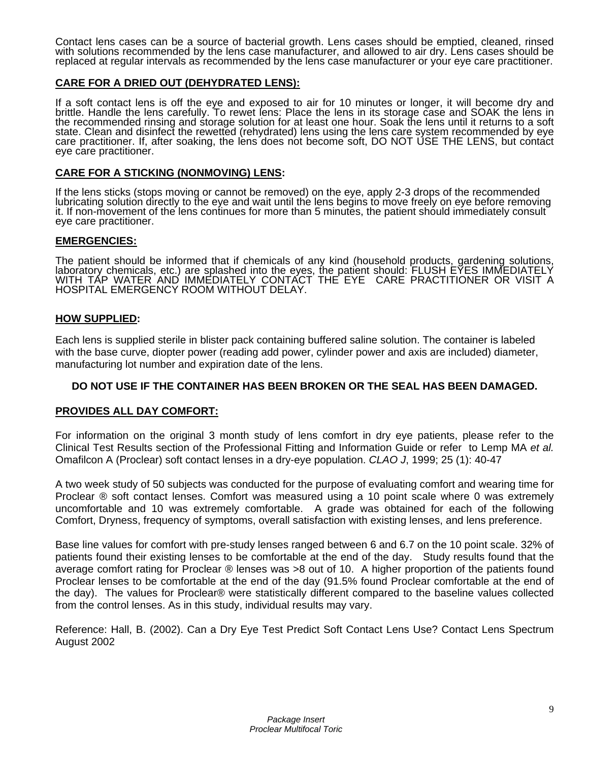Contact lens cases can be a source of bacterial growth. Lens cases should be emptied, cleaned, rinsed with solutions recommended by the lens case manufacturer, and allowed to air dry. Lens cases should be replaced at regular intervals as recommended by the lens case manufacturer or your eye care practitioner.

### **CARE FOR A DRIED OUT (DEHYDRATED LENS):**

If a soft contact lens is off the eye and exposed to air for 10 minutes or longer, it will become dry and brittle. Handle the lens carefully. To rewet lens: Place the lens in its storage case and SOAK the lens in the recommended rinsing and storage solution for at least one hour. Soak the lens until it returns to a soft state. Clean and disinfect the rewetted (rehydrated) lens using the lens care system recommended by eye<br>care practitioner. If, after soaking, the lens does not become soft, DO NOT USE THE LENS, but contact eye care practitioner.

#### **CARE FOR A STICKING (NONMOVING) LENS:**

If the lens sticks (stops moving or cannot be removed) on the eye, apply 2-3 drops of the recommended lubricating solution directly to the eye and wait until the lens begins to move freely on eye before removing it. If non-movement of the lens continues for more than 5 minutes, the patient should immediately consult<br>eye care practitioner.

#### **EMERGENCIES:**

The patient should be informed that if chemicals of any kind (household products, gardening solutions, laboratory chemicals, etc.) are splashed into the eyes, the patient should: FLUSH EYES IMMEDIATELY WITH TAP WATER AND IMMEDIATELY CONTACT THE EYE CARE PRACTITIONER OR VISIT A HOSPITAL EMERGENCY ROOM WITHOUT DELAY.

#### **HOW SUPPLIED:**

Each lens is supplied sterile in blister pack containing buffered saline solution. The container is labeled with the base curve, diopter power (reading add power, cylinder power and axis are included) diameter, manufacturing lot number and expiration date of the lens.

### **DO NOT USE IF THE CONTAINER HAS BEEN BROKEN OR THE SEAL HAS BEEN DAMAGED.**

#### **PROVIDES ALL DAY COMFORT:**

For information on the original 3 month study of lens comfort in dry eye patients, please refer to the Clinical Test Results section of the Professional Fitting and Information Guide or refer to Lemp MA *et al.*  Omafilcon A (Proclear) soft contact lenses in a dry-eye population. *CLAO J*, 1999; 25 (1): 40-47

A two week study of 50 subjects was conducted for the purpose of evaluating comfort and wearing time for Proclear ® soft contact lenses. Comfort was measured using a 10 point scale where 0 was extremely uncomfortable and 10 was extremely comfortable. A grade was obtained for each of the following Comfort, Dryness, frequency of symptoms, overall satisfaction with existing lenses, and lens preference.

Base line values for comfort with pre-study lenses ranged between 6 and 6.7 on the 10 point scale. 32% of patients found their existing lenses to be comfortable at the end of the day. Study results found that the average comfort rating for Proclear ® lenses was >8 out of 10. A higher proportion of the patients found Proclear lenses to be comfortable at the end of the day (91.5% found Proclear comfortable at the end of the day). The values for Proclear® were statistically different compared to the baseline values collected from the control lenses. As in this study, individual results may vary.

Reference: Hall, B. (2002). Can a Dry Eye Test Predict Soft Contact Lens Use? Contact Lens Spectrum August 2002